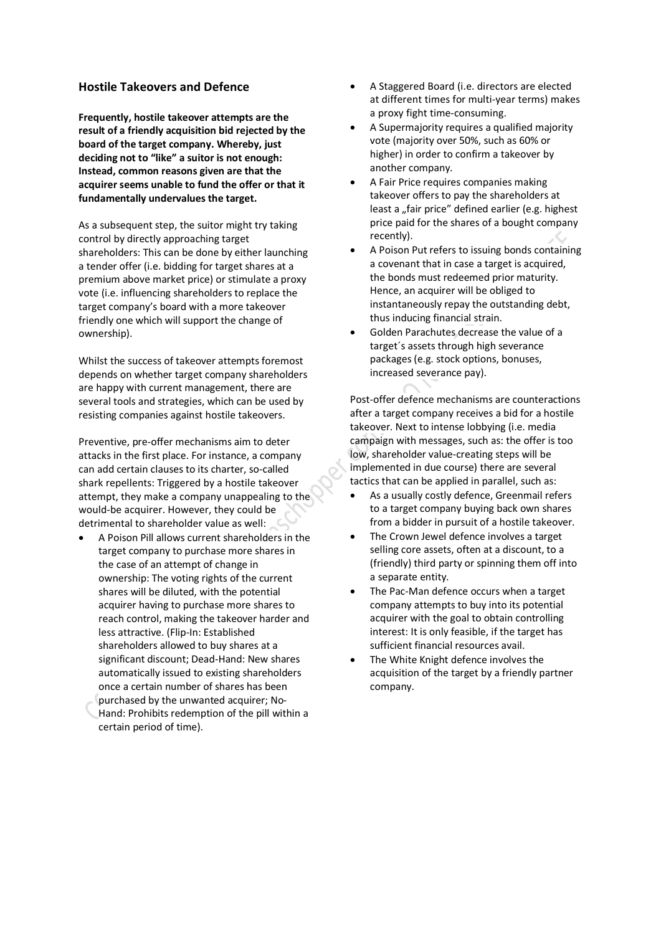## **Hostile Takeovers and Defence**

**Frequently, hostile takeover attempts are the result of a friendly acquisition bid rejected by the board of the target company. Whereby, just deciding not to "like" a suitor is not enough: Instead, common reasons given are that the acquirer seems unable to fund the offer or that it fundamentally undervalues the target.**

As a subsequent step, the suitor might try taking control by directly approaching target shareholders: This can be done by either launching a tender offer (i.e. bidding for target shares at a premium above market price) or stimulate a proxy vote (i.e. influencing shareholders to replace the target company's board with a more takeover friendly one which will support the change of ownership).

Whilst the success of takeover attempts foremost depends on whether target company shareholders are happy with current management, there are several tools and strategies, which can be used by resisting companies against hostile takeovers.

Preventive, pre-offer mechanisms aim to deter attacks in the first place. For instance, a company can add certain clauses to its charter, so-called shark repellents: Triggered by a hostile takeover attempt, they make a company unappealing to the would-be acquirer. However, they could be detrimental to shareholder value as well:

A Poison Pill allows current shareholders in the target company to purchase more shares in the case of an attempt of change in ownership: The voting rights of the current shares will be diluted, with the potential acquirer having to purchase more shares to reach control, making the takeover harder and less attractive. (Flip-In: Established shareholders allowed to buy shares at a significant discount; Dead-Hand: New shares automatically issued to existing shareholders once a certain number of shares has been purchased by the unwanted acquirer; No-Hand: Prohibits redemption of the pill within a certain period of time).

- · A Staggered Board (i.e. directors are elected at different times for multi-year terms) makes a proxy fight time-consuming.
- A Supermajority requires a qualified majority vote (majority over 50%, such as 60% or higher) in order to confirm a takeover by another company.
- A Fair Price requires companies making takeover offers to pay the shareholders at least a "fair price" defined earlier (e.g. highest price paid for the shares of a bought company recently).
- · A Poison Put refers to issuing bonds containing a covenant that in case a target is acquired, the bonds must redeemed prior maturity. Hence, an acquirer will be obliged to instantaneously repay the outstanding debt, thus inducing financial strain.
- Golden Parachutes decrease the value of a target´s assets through high severance packages (e.g. stock options, bonuses, increased severance pay).

Post-offer defence mechanisms are counteractions after a target company receives a bid for a hostile takeover. Next to intense lobbying (i.e. media campaign with messages, such as: the offer is too low, shareholder value-creating steps will be implemented in due course) there are several tactics that can be applied in parallel, such as:

- · As a usually costly defence, Greenmail refers to a target company buying back own shares from a bidder in pursuit of a hostile takeover.
- The Crown Jewel defence involves a target selling core assets, often at a discount, to a (friendly) third party or spinning them off into a separate entity.
- The Pac-Man defence occurs when a target company attempts to buy into its potential acquirer with the goal to obtain controlling interest: It is only feasible, if the target has sufficient financial resources avail.
- The White Knight defence involves the acquisition of the target by a friendly partner company.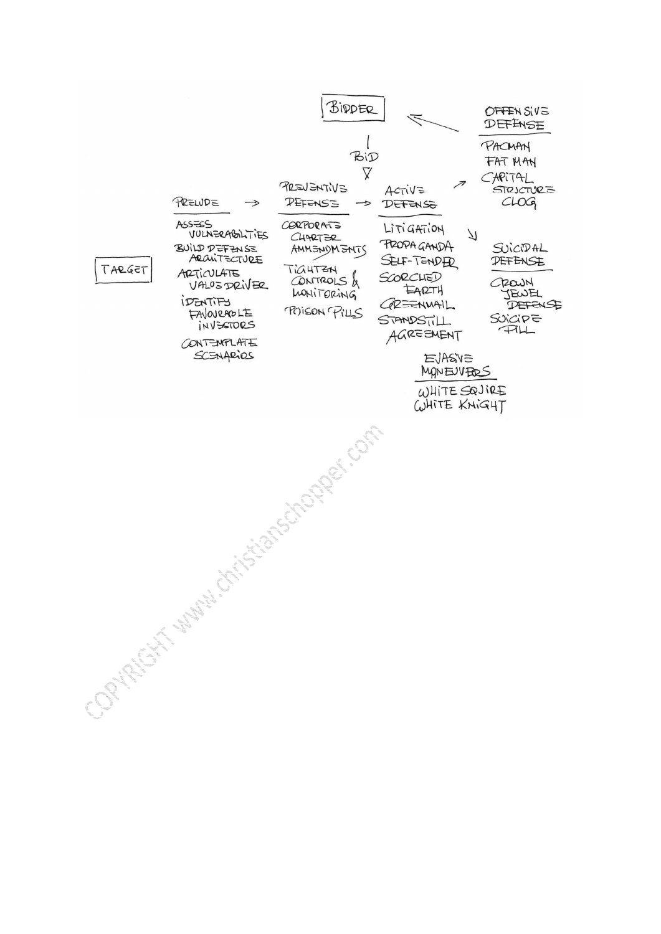